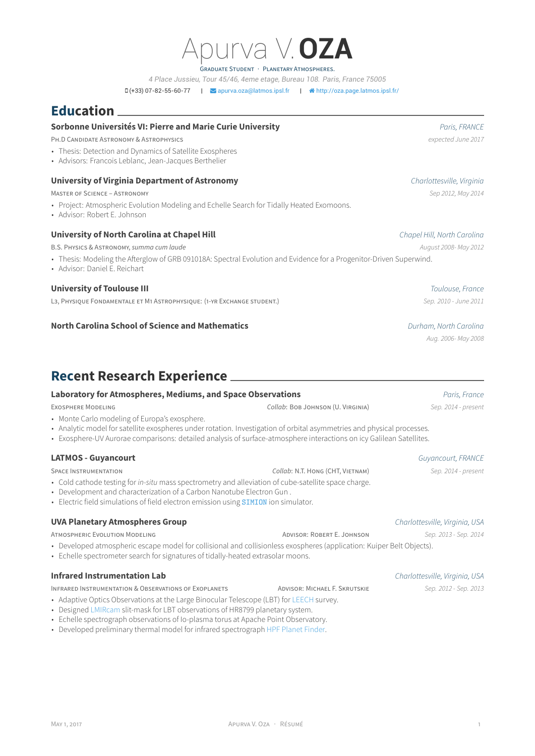GRADUATE STUDENT · PLANETARY ATMOSPHERES.

*4 Place Jussieu, Tour 45/46, 4eme etage, Bureau 108. Paris, France 75005*

 $D(+33)$  07-82-55-60-77 |  $\blacktriangleright$  [apurva.oza@latmos.ipsl.fr](mailto:apurva.oza@latmos.ipsl.fr) |  $\blacktriangleleft$  [http://oza.page.latmos.ipsl.fr/](http://http://oza.page.latmos.ipsl.fr/)

## **Education**

#### **Sorbonne Universités VI: Pierre and Marie Curie University** *Paris, FRANCE*

PH.D CANDIDATE ASTRONOMY & ASTROPHYSICS *expected June 2017*

- Thesis: Detection and Dynamics of Satellite Exospheres
- Advisors: Francois Leblanc, Jean-Jacques Berthelier

#### **University of Virginia Department of Astronomy** *Charlottesville, Virginia*

MASTER OF SCIENCE – ASTRONOMY *Sep 2012, May 2014*

- Project: Atmospheric Evolution Modeling and Echelle Search for Tidally Heated Exomoons.
- Advisor: Robert E. Johnson

#### **University of North Carolina at Chapel Hill** *Chapel Hill, North Carolina*

B.S. PHYSICS & ASTRONOMY, *summa cum laude August 2008- May 2012*

- Thesis: Modeling the Afterglow of GRB 091018A: Spectral Evolution and Evidence for a Progenitor-Driven Superwind.
- Advisor: Daniel E. Reichart

#### **University of Toulouse III** *Toulouse, France*

L3, PHYSIQUE FONDAMENTALE ET M1 ASTROPHYSIQUE: (1-YR EXCHANGE STUDENT.) *Sep. 2010 - June 2011*

#### **North Carolina School of Science and Mathematics** *Durham, North Carolina*

### **Recent Research Experience**

#### **Laboratory for Atmospheres, Mediums, and Space Observations** *Paris, France*

EXOSPHERE MODELING *Collab*: BOB JOHNSON (U. VIRGINIA) *Sep. 2014 - present*

- Monte Carlo modeling of Europa's exosphere.
- Analytic model for satellite exospheres under rotation. Investigation of orbital asymmetries and physical processes.
- Exosphere-UV Aurorae comparisons: detailed analysis of surface-atmosphere interactions on icy Galilean Satellites.

#### **LATMOS - Guyancourt** *Guyancourt, FRANCE*

SPACE INSTRUMENTATION *Collab*: N.T. HONG (CHT, VIETNAM) *Sep. 2014 - present*

- Cold cathode testing for *in-situ* mass spectrometry and alleviation of cube-satellite space charge.
- Development and characterization of a Carbon Nanotube Electron Gun .
- Electric field simulations of field electron emission using **[SIMION](http://simion.com/)** ion simulator.

#### **UVA Planetary Atmospheres Group** *Charlottesville, Virginia, USA*

ATMOSPHERIC EVOLUTION MODELING ADVISOR: ROBERT E. JOHNSON *Sep. 2013 - Sep. 2014*

• Developed atmospheric escape model for collisional and collisionless exospheres (application: Kuiper Belt Objects).

• Echelle spectrometer search for signatures of tidally-heated extrasolar moons.

#### **Infrared Instrumentation Lab** *Charlottesville, Virginia, USA*

INFRARED INSTRUMENTATION & OBSERVATIONS OF EXOPLANETS ADVISOR: MICHAEL F. SKRUTSKIE *Sep. 2012 - Sep. 2013*

- Adaptive Optics Observations at the Large Binocular Telescope (LBT) for [LEECH](http://www.lbto.org/leech-hr8799.html) survey.
- Designed [LMIRcam](https://zero.as.arizona.edu/wiki/projects/lmircam) slit-mask for LBT observations of HR8799 planetary system.
- Echelle spectrograph observations of Io-plasma torus at Apache Point Observatory.
- Developed preliminary thermal model for infrared spectrograph [HPF Planet Finder.](http://hpf.psu.edu/)

*Aug. 2006- May 2008*

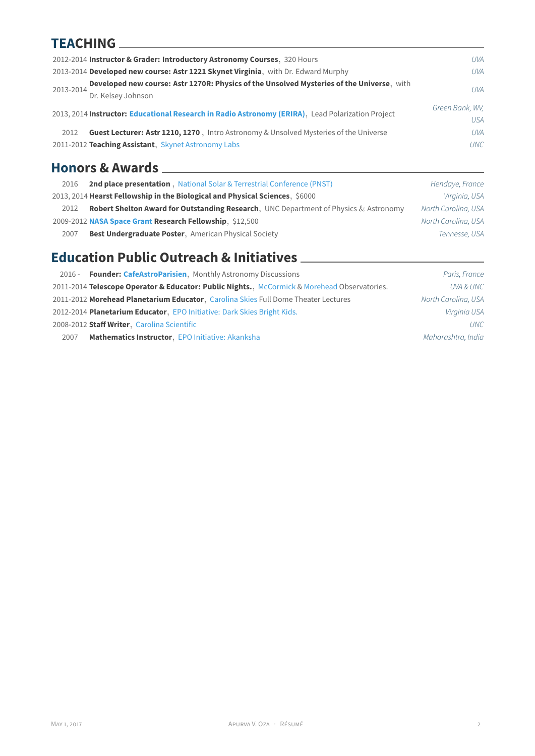### **TEACHING**

| 2012-2014 Instructor & Grader: Introductory Astronomy Courses, 320 Hours                                                     | <b>UVA</b>             |
|------------------------------------------------------------------------------------------------------------------------------|------------------------|
| 2013-2014 Developed new course: Astr 1221 Skynet Virginia, with Dr. Edward Murphy                                            | <b>UVA</b>             |
| Developed new course: Astr 1270R: Physics of the Unsolved Mysteries of the Universe, with<br>2013-2014<br>Dr. Kelsey Johnson | l IVA                  |
| 2013, 2014 Instructor: Educational Research in Radio Astronomy (ERIRA), Lead Polarization Project                            | Green Bank, WV,<br>USA |
| Guest Lecturer: Astr 1210, 1270, Intro Astronomy & Unsolved Mysteries of the Universe<br>2012                                | <b>UVA</b>             |
| 2011-2012 Teaching Assistant, Skynet Astronomy Labs                                                                          | <b>UNC</b>             |

# **Honors & Awards**

| 2016 | <b>2nd place presentation</b> , National Solar & Terrestrial Conference (PNST)                  | Hendaye, France     |
|------|-------------------------------------------------------------------------------------------------|---------------------|
|      | 2013, 2014 Hearst Fellowship in the Biological and Physical Sciences, \$6000                    | Virginia, USA       |
| 2012 | <b>Robert Shelton Award for Outstanding Research, UNC Department of Physics &amp; Astronomy</b> | North Carolina, USA |
|      | 2009-2012 NASA Space Grant Research Fellowship, \$12,500                                        | North Carolina, USA |
| 2007 | <b>Best Undergraduate Poster, American Physical Society</b>                                     | Tennesse, USA       |

# **Education Public Outreach & Initiatives**

| 2016 - Founder: CafeAstroParisien, Monthly Astronomy Discussions                             | Paris, France       |
|----------------------------------------------------------------------------------------------|---------------------|
| 2011-2014 Telescope Operator & Educator: Public Nights., McCormick & Morehead Observatories. | UVA & UNC           |
| 2011-2012 Morehead Planetarium Educator, Carolina Skies Full Dome Theater Lectures           | North Carolina, USA |
| 2012-2014 Planetarium Educator, EPO Initiative: Dark Skies Bright Kids.                      | Virginia USA        |
| 2008-2012 Staff Writer, Carolina Scientific                                                  | UNC.                |
| Mathematics Instructor, EPO Initiative: Akanksha<br>2007                                     | Maharashtra, India  |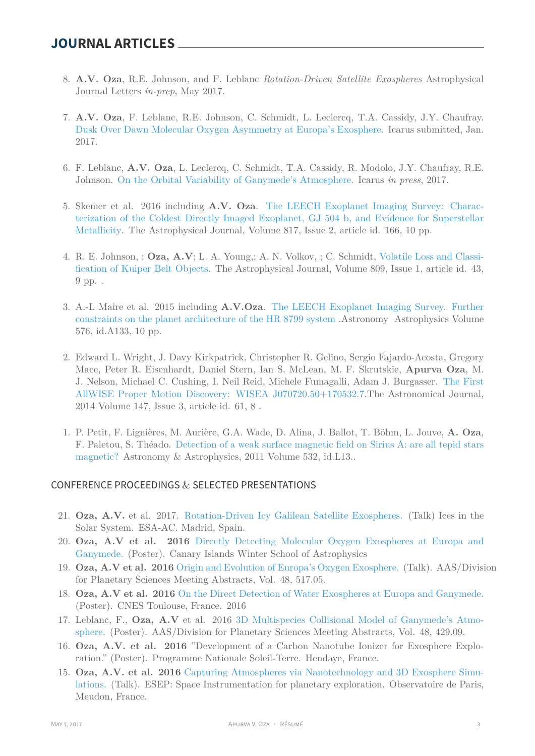- 8. **A.V. Oza**, R.E. Johnson, and F. Leblanc *Rotation-Driven Satellite Exospheres* Astrophysical Journal Letters *in-prep*, May 2017.
- 7. **A.V. Oza**, F. Leblanc, R.E. Johnson, C. Schmidt, L. Leclercq, T.A. Cassidy, J.Y. Chaufray. [Dusk Over Dawn Molecular Oxygen Asymmetry at Europa's Exosphere.](http://oza.page.latmos.ipsl.fr/publications/Oza_etal_2017A.pdf) Icarus submitted, Jan. 2017.
- 6. F. Leblanc, **A.V. Oza**, L. Leclercq, C. Schmidt, T.A. Cassidy, R. Modolo, J.Y. Chaufray, R.E. Johnson. [On the Orbital Variability of Ganymede's Atmosphere.](http://oza.page.latmos.ipsl.fr/publications/Leblanc_etal_2017_accepted.pdf) Icarus *in press*, 2017.
- 5. Skemer et al. 2016 including **A.V. Oza**. [The LEECH Exoplanet Imaging Survey: Charac](http://adsabs.harvard.edu/abs/2016ApJ...817..166S)[terization of the Coldest Directly Imaged Exoplanet, GJ 504 b, and Evidence for Superstellar](http://adsabs.harvard.edu/abs/2016ApJ...817..166S) [Metallicity](http://adsabs.harvard.edu/abs/2016ApJ...817..166S). The Astrophysical Journal, Volume 817, Issue 2, article id. 166, 10 pp.
- 4. R. E. Johnson, ; **Oza, A.V**; L. A. Young,; A. N. Volkov, ; C. Schmidt, [Volatile Loss and Classi](http://adsabs.harvard.edu/abs/2015ApJ...809...43J)[fication of Kuiper Belt Objects.](http://adsabs.harvard.edu/abs/2015ApJ...809...43J) The Astrophysical Journal, Volume 809, Issue 1, article id. 43, 9 pp. .
- 3. A.-L Maire et al. 2015 including **A.V.Oza**. [The LEECH Exoplanet Imaging Survey. Further](http://www.aanda.org/articles/aa/pdf/2015/04/aa25185-14.pdf) [constraints on the planet architecture of the HR 8799 system](http://www.aanda.org/articles/aa/pdf/2015/04/aa25185-14.pdf) .Astronomy Astrophysics Volume 576, id.A133, 10 pp.
- 2. Edward L. Wright, J. Davy Kirkpatrick, Christopher R. Gelino, Sergio Fajardo-Acosta, Gregory Mace, Peter R. Eisenhardt, Daniel Stern, Ian S. McLean, M. F. Skrutskie, **Apurva Oza**, M. J. Nelson, Michael C. Cushing, I. Neil Reid, Michele Fumagalli, Adam J. Burgasser. [The First](http://adsabs.harvard.edu/abs/2014AJ....147...61W) [AllWISE Proper Motion Discovery: WISEA J070720.50+170532.7.](http://adsabs.harvard.edu/abs/2014AJ....147...61W)The Astronomical Journal, 2014 Volume 147, Issue 3, article id. 61, 8 .
- 1. P. Petit, F. Lignières, M. Aurière, G.A. Wade, D. Alina, J. Ballot, T. Böhm, L. Jouve, **A. Oza**, F. Paletou, S. Théado. [Detection of a weak surface magnetic field on Sirius A: are all tepid stars](http://tinyurl.com/pt75udf) [magnetic?](http://tinyurl.com/pt75udf) Astronomy & Astrophysics, 2011 Volume 532, id.L13..

### CONFERENCE PROCEEDINGS & SELECTED PRESENTATIONS

- 21. **Oza, A.V.** et al. 2017. [Rotation-Driven Icy Galilean Satellite Exospheres.](http://oza.page.latmos.ipsl.fr/publications/Oza_etal_2017B.pdf) (Talk) Ices in the Solar System. ESA-AC. Madrid, Spain.
- 20. **Oza, A.V et al. 2016** [Directly Detecting Molecular Oxygen Exospheres at Europa and](http://adsabs.harvard.edu/abs/2016DPS....4851705O) [Ganymede.](http://adsabs.harvard.edu/abs/2016DPS....4851705O) (Poster). Canary Islands Winter School of Astrophysics
- 19. **Oza, A.V et al. 2016** [Origin and Evolution of Europa's Oxygen Exosphere.](http://adsabs.harvard.edu/abs/2016DPS....4851705O) (Talk). AAS/Division for Planetary Sciences Meeting Abstracts, Vol. 48, 517.05.
- 18. **Oza, A.V et al. 2016** [On the Direct Detection of Water Exospheres at Europa and Ganymede.](http://adsabs.harvard.edu/abs/2016DPS....4851705O) (Poster). CNES Toulouse, France. 2016
- 17. Leblanc, F., **Oza, A.V** et al. 2016 [3D Multispecies Collisional Model of Ganymede's Atmo](http://adsabs.harvard.edu/abs/2016DPS....4842909L)[sphere.](http://adsabs.harvard.edu/abs/2016DPS....4842909L) (Poster). AAS/Division for Planetary Sciences Meeting Abstracts, Vol. 48, 429.09.
- 16. **Oza, A.V. et al. 2016** "Development of a Carbon Nanotube Ionizer for Exosphere Exploration." (Poster). Programme Nationale Soleil-Terre. Hendaye, France.
- 15. **Oza, A.V. et al. 2016** [Capturing Atmospheres via Nanotechnology and 3D Exosphere Simu](http://www.esep.pro/-5eme-Journee-Instrumentation-.html)[lations.](http://www.esep.pro/-5eme-Journee-Instrumentation-.html) (Talk). ESEP: Space Instrumentation for planetary exploration. Observatoire de Paris, Meudon, France.